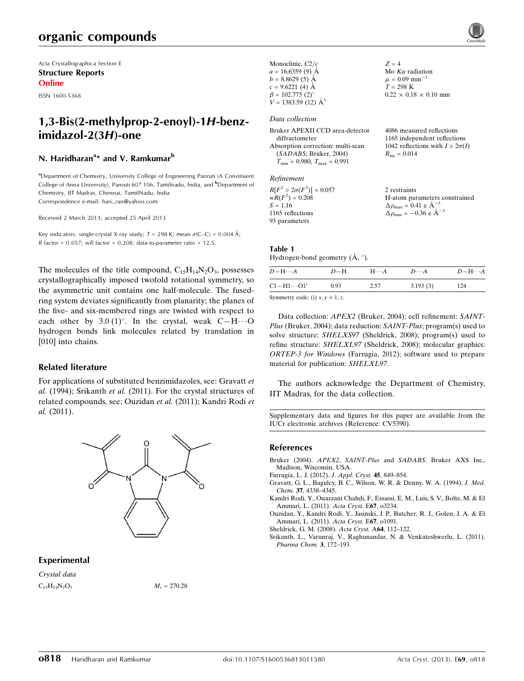Acta Crystallographica Section E Structure Reports Online

ISSN 1600-5368

# 1,3-Bis(2-methylprop-2-enoyl)-1H-benzimidazol-2(3H)-one

# N. Haridharan<sup>a</sup>\* and V. Ramkumar<sup>b</sup>

<sup>a</sup> Department of Chemistry, University College of Engineering Panruti (A Constituent College of Anna University), Panruti 607 106, Tamilnadu, India, and <sup>b</sup>Department of Chemistry, IIT Madras, Chennai, TamilNadu, India Correspondence e-mail: [hari\\_ran@yahoo.com](http://scripts.iucr.org/cgi-bin/cr.cgi?rm=pdfbb&cnor=cv5390&bbid=BB7)

Received 2 March 2013; accepted 25 April 2013

Key indicators: single-crystal X-ray study;  $T = 298$  K; mean  $\sigma$ (C–C) = 0.004 Å; R factor =  $0.057$ ; wR factor =  $0.208$ ; data-to-parameter ratio =  $12.5$ .

The molecules of the title compound,  $C_{15}H_{14}N_2O_3$ , possesses crystallographically imposed twofold rotational symmetry, so the asymmetric unit contains one half-molecule. The fusedring system deviates significantly from planarity; the planes of the five- and six-membered rings are twisted with respect to each other by  $3.0 \,(1)^\circ$ . In the crystal, weak C-H $\cdot \cdot \cdot$ O hydrogen bonds link molecules related by translation in [010] into chains.

#### Related literature

For applications of substituted benzimidazoles, see: Gravatt et al. (1994); Srikanth et al. (2011). For the crystal structures of related compounds, see: Ouzidan et al. (2011); Kandri Rodi et al. (2011).



#### Experimental

Crystal data  $C_{15}H_{14}N_2O_3$   $M_r = 270.28$ 

| Monoclinic, $C2/c$                                          | $Z = 4$                                                         |
|-------------------------------------------------------------|-----------------------------------------------------------------|
| $a = 16.6359(9)$ Å                                          | Mo $K\alpha$ radiation                                          |
| $b = 8.8629(5)$ Å                                           | $\mu = 0.09$ mm <sup>-1</sup>                                   |
| $c = 9.6221(4)$ Å                                           | $T = 298 \text{ K}$                                             |
| $\beta = 102.775$ (2) <sup>o</sup>                          | $0.22 \times 0.18 \times 0.10$ mm                               |
| $V = 1383.59$ (12) $\AA^3$                                  |                                                                 |
| Data collection                                             |                                                                 |
| Bruker APEXII CCD area-detector                             | 4086 measured reflections                                       |
|                                                             |                                                                 |
| diffractometer                                              | 1165 independent reflections                                    |
|                                                             |                                                                 |
| Absorption correction: multi-scan<br>(SADABS; Bruker, 2004) | 1042 reflections with $I > 2\sigma(I)$<br>$R_{\rm int} = 0.014$ |

| $R[F^2 > 2\sigma(F^2)] = 0.057$ | 2 restraints                                         |
|---------------------------------|------------------------------------------------------|
| $wR(F^2) = 0.208$               | H-atom parameters constrained                        |
| $S = 1.16$                      | $\Delta \rho_{\text{max}} = 0.41$ e $\AA^{-3}$       |
| 1165 reflections                | $\Delta \rho_{\text{min}} = -0.36$ e $\rm{\AA}^{-3}$ |
| 93 parameters                   |                                                      |

#### Table 1

Hydrogen-bond geometry  $(\AA, \degree)$ .

 $D-\text{H}\cdot\cdot\cdot A$   $D-\text{H}$   $\text{H}\cdot\cdot\cdot A$   $D\cdot\cdot\cdot A$   $D-\text{H}\cdot\cdot\cdot A$  $C1 - H1 \cdots O1$ <sup>i</sup> 0.93 2.57 3.193 (3) 124

Symmetry code: (i)  $x, y + 1, z$ .

Data collection: APEX2 (Bruker, 2004); cell refinement: SAINT-Plus (Bruker, 2004); data reduction: SAINT-Plus; program(s) used to solve structure: SHELXS97 (Sheldrick, 2008); program(s) used to refine structure: SHELXL97 (Sheldrick, 2008); molecular graphics: ORTEP-3 for Windows (Farrugia, 2012); software used to prepare material for publication: SHELXL97.

The authors acknowledge the Department of Chemistry, IIT Madras, for the data collection.

Supplementary data and figures for this paper are available from the IUCr electronic archives (Reference: CV5390).

#### References

- Bruker (2004). APEX2, SAINT-Plus and SADABS[. Bruker AXS Inc.,](http://scripts.iucr.org/cgi-bin/cr.cgi?rm=pdfbb&cnor=cv5390&bbid=BB1) [Madison, Wisconsin, USA.](http://scripts.iucr.org/cgi-bin/cr.cgi?rm=pdfbb&cnor=cv5390&bbid=BB1)
- [Farrugia, L. J. \(2012\).](http://scripts.iucr.org/cgi-bin/cr.cgi?rm=pdfbb&cnor=cv5390&bbid=BB2) J. Appl. Cryst. 45, 849–854.
- [Gravatt, G. L., Baguley, B. C., Wilson, W. R. & Denny, W. A. \(1994\).](http://scripts.iucr.org/cgi-bin/cr.cgi?rm=pdfbb&cnor=cv5390&bbid=BB3) J. Med. Chem. 37[, 4338–4345.](http://scripts.iucr.org/cgi-bin/cr.cgi?rm=pdfbb&cnor=cv5390&bbid=BB3)
- [Kandri Rodi, Y., Ouazzani Chahdi, F., Essassi, E. M., Luis, S. V., Bolte, M. & El](http://scripts.iucr.org/cgi-bin/cr.cgi?rm=pdfbb&cnor=cv5390&bbid=BB4) [Ammari, L. \(2011\).](http://scripts.iucr.org/cgi-bin/cr.cgi?rm=pdfbb&cnor=cv5390&bbid=BB4) Acta Cryst. E67, o3234.
- [Ouzidan, Y., Kandri Rodi, Y., Jasinski, J. P., Butcher, R. J., Golen, J. A. & El](http://scripts.iucr.org/cgi-bin/cr.cgi?rm=pdfbb&cnor=cv5390&bbid=BB5) [Ammari, L. \(2011\).](http://scripts.iucr.org/cgi-bin/cr.cgi?rm=pdfbb&cnor=cv5390&bbid=BB5) Acta Cryst. E67, o1091.
- [Sheldrick, G. M. \(2008\).](http://scripts.iucr.org/cgi-bin/cr.cgi?rm=pdfbb&cnor=cv5390&bbid=BB6) Acta Cryst. A64, 112–122.
- [Srikanth, L., Varunraj, V., Raghunandar, N. & Venkateshwerlu, L. \(2011\).](http://scripts.iucr.org/cgi-bin/cr.cgi?rm=pdfbb&cnor=cv5390&bbid=BB7) [Pharma Chem.](http://scripts.iucr.org/cgi-bin/cr.cgi?rm=pdfbb&cnor=cv5390&bbid=BB7) 3, 172–193.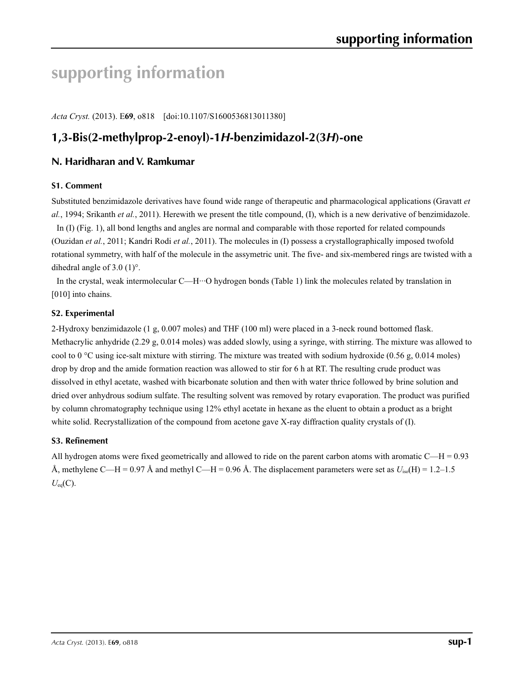# **supporting information**

*Acta Cryst.* (2013). E**69**, o818 [doi:10.1107/S1600536813011380]

# **1,3-Bis(2-methylprop-2-enoyl)-1***H***-benzimidazol-2(3***H***)-one**

# **N. Haridharan and V. Ramkumar**

## **S1. Comment**

Substituted benzimidazole derivatives have found wide range of therapeutic and pharmacological applications (Gravatt *et al.*, 1994; Srikanth *et al.*, 2011). Herewith we present the title compound, (I), which is a new derivative of benzimidazole.

In (I) (Fig. 1), all bond lengths and angles are normal and comparable with those reported for related compounds (Ouzidan *et al.*, 2011; Kandri Rodi *et al.*, 2011). The molecules in (I) possess a crystallographically imposed twofold rotational symmetry, with half of the molecule in the assymetric unit. The five- and six-membered rings are twisted with a dihedral angle of 3.0 (1)°.

In the crystal, weak intermolecular C—H···O hydrogen bonds (Table 1) link the molecules related by translation in [010] into chains.

## **S2. Experimental**

2-Hydroxy benzimidazole (1 g, 0.007 moles) and THF (100 ml) were placed in a 3-neck round bottomed flask. Methacrylic anhydride (2.29 g, 0.014 moles) was added slowly, using a syringe, with stirring. The mixture was allowed to cool to 0 °C using ice-salt mixture with stirring. The mixture was treated with sodium hydroxide (0.56 g, 0.014 moles) drop by drop and the amide formation reaction was allowed to stir for 6 h at RT. The resulting crude product was dissolved in ethyl acetate, washed with bicarbonate solution and then with water thrice followed by brine solution and dried over anhydrous sodium sulfate. The resulting solvent was removed by rotary evaporation. The product was purified by column chromatography technique using 12% ethyl acetate in hexane as the eluent to obtain a product as a bright white solid. Recrystallization of the compound from acetone gave X-ray diffraction quality crystals of (I).

# **S3. Refinement**

All hydrogen atoms were fixed geometrically and allowed to ride on the parent carbon atoms with aromatic  $C-H = 0.93$ Å, methylene C—H = 0.97 Å and methyl C—H = 0.96 Å. The displacement parameters were set as  $U_{iso}(H) = 1.2-1.5$  $U_{\text{eq}}(C)$ .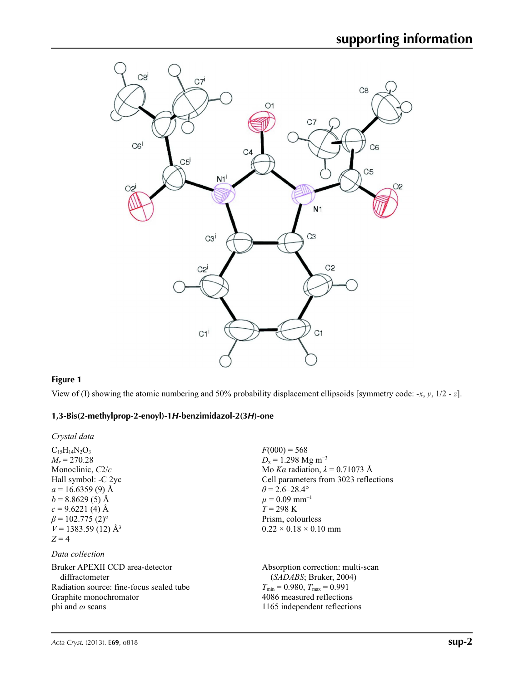

# **Figure 1**

View of (I) showing the atomic numbering and 50% probability displacement ellipsoids [symmetry code: -*x*, *y*, 1/2 - *z*].

# **1,3-Bis(2-methylprop-2-enoyl)-1***H***-benzimidazol-2(3***H***)-one**

*Crystal data*

| $C_{15}H_{14}N_2O_3$                     | $F(000) = 568$                          |
|------------------------------------------|-----------------------------------------|
| $M_r = 270.28$                           | $D_x = 1.298$ Mg m <sup>-3</sup>        |
| Monoclinic, C2/c                         | Mo Ka radiation, $\lambda = 0.71073$ Å  |
| Hall symbol: -C 2yc                      | Cell parameters from 3023 reflections   |
| $a = 16.6359(9)$ Å                       | $\theta = 2.6 - 28.4^{\circ}$           |
| $b = 8.8629(5)$ Å                        | $\mu = 0.09$ mm <sup>-1</sup>           |
| $c = 9.6221(4)$ Å                        | $T = 298 \text{ K}$                     |
| $\beta$ = 102.775 (2) <sup>o</sup>       | Prism, colourless                       |
| $V = 1383.59(12)$ Å <sup>3</sup>         | $0.22 \times 0.18 \times 0.10$ mm       |
| $Z=4$                                    |                                         |
| Data collection                          |                                         |
| Bruker APEXII CCD area-detector          | Absorption correction: multi-scan       |
| diffractometer                           | (SADABS; Bruker, 2004)                  |
| Radiation source: fine-focus sealed tube | $T_{\min} = 0.980$ , $T_{\max} = 0.991$ |
| Graphite monochromator                   | 4086 measured reflections               |
| phi and $\omega$ scans                   | 1165 independent reflections            |
|                                          |                                         |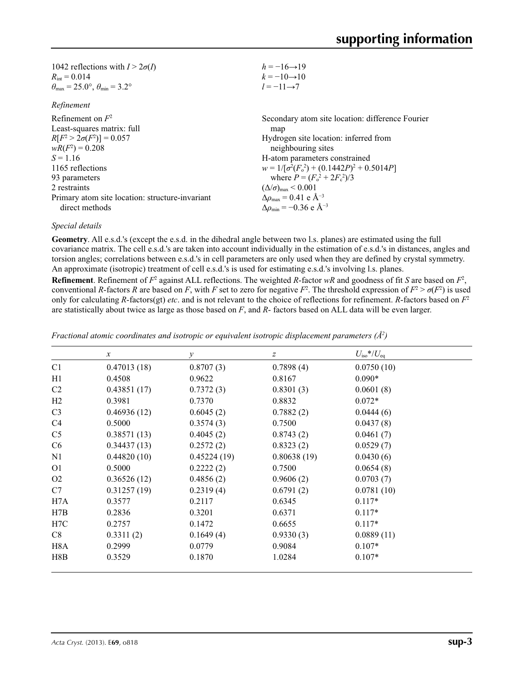| 1042 reflections with $I > 2\sigma(I)$                                  | $h = -16 \rightarrow 19$                           |
|-------------------------------------------------------------------------|----------------------------------------------------|
| $R_{\text{int}} = 0.014$                                                | $k = -10 \rightarrow 10$                           |
| $\theta_{\text{max}} = 25.0^{\circ}, \theta_{\text{min}} = 3.2^{\circ}$ | $l = -11 \rightarrow 7$                            |
| Refinement                                                              |                                                    |
| Refinement on $F^2$                                                     | Secondary atom site location: difference Fourier   |
| Least-squares matrix: full                                              | map                                                |
| $R[F^2 > 2\sigma(F^2)] = 0.057$                                         | Hydrogen site location: inferred from              |
| $wR(F^2) = 0.208$                                                       | neighbouring sites                                 |
| $S = 1.16$                                                              | H-atom parameters constrained                      |
| 1165 reflections                                                        | $w = 1/[\sigma^2(F_0^2) + (0.1442P)^2 + 0.5014P]$  |
| 93 parameters                                                           | where $P = (F_o^2 + 2F_c^2)/3$                     |
| 2 restraints                                                            | $(\Delta/\sigma)_{\text{max}}$ < 0.001             |
| Primary atom site location: structure-invariant                         | $\Delta\rho_{\text{max}} = 0.41$ e Å <sup>-3</sup> |
| direct methods                                                          | $\Delta \rho_{\rm min} = -0.36$ e Å <sup>-3</sup>  |

## *Special details*

**Geometry**. All e.s.d.'s (except the e.s.d. in the dihedral angle between two l.s. planes) are estimated using the full covariance matrix. The cell e.s.d.'s are taken into account individually in the estimation of e.s.d.'s in distances, angles and torsion angles; correlations between e.s.d.'s in cell parameters are only used when they are defined by crystal symmetry. An approximate (isotropic) treatment of cell e.s.d.'s is used for estimating e.s.d.'s involving l.s. planes.

**Refinement**. Refinement of  $F^2$  against ALL reflections. The weighted R-factor wR and goodness of fit *S* are based on  $F^2$ , conventional *R*-factors *R* are based on *F*, with *F* set to zero for negative  $F^2$ . The threshold expression of  $F^2 > \sigma(F^2)$  is used only for calculating *R*-factors(gt) *etc*. and is not relevant to the choice of reflections for refinement. *R*-factors based on *F*<sup>2</sup> are statistically about twice as large as those based on *F*, and *R*- factors based on ALL data will be even larger.

|                | $\boldsymbol{x}$ | $\mathcal{Y}$ | z           | $U_{\rm iso}*/U_{\rm eq}$ |
|----------------|------------------|---------------|-------------|---------------------------|
| C <sub>1</sub> | 0.47013(18)      | 0.8707(3)     | 0.7898(4)   | 0.0750(10)                |
| H1             | 0.4508           | 0.9622        | 0.8167      | $0.090*$                  |
| C <sub>2</sub> | 0.43851(17)      | 0.7372(3)     | 0.8301(3)   | 0.0601(8)                 |
| H2             | 0.3981           | 0.7370        | 0.8832      | $0.072*$                  |
| C <sub>3</sub> | 0.46936(12)      | 0.6045(2)     | 0.7882(2)   | 0.0444(6)                 |
| C4             | 0.5000           | 0.3574(3)     | 0.7500      | 0.0437(8)                 |
| C <sub>5</sub> | 0.38571(13)      | 0.4045(2)     | 0.8743(2)   | 0.0461(7)                 |
| C6             | 0.34437(13)      | 0.2572(2)     | 0.8323(2)   | 0.0529(7)                 |
| N1             | 0.44820(10)      | 0.45224(19)   | 0.80638(19) | 0.0430(6)                 |
| O <sub>1</sub> | 0.5000           | 0.2222(2)     | 0.7500      | 0.0654(8)                 |
| O <sub>2</sub> | 0.36526(12)      | 0.4856(2)     | 0.9606(2)   | 0.0703(7)                 |
| C7             | 0.31257(19)      | 0.2319(4)     | 0.6791(2)   | 0.0781(10)                |
| H7A            | 0.3577           | 0.2117        | 0.6345      | $0.117*$                  |
| H7B            | 0.2836           | 0.3201        | 0.6371      | $0.117*$                  |
| H7C            | 0.2757           | 0.1472        | 0.6655      | $0.117*$                  |
| C8             | 0.3311(2)        | 0.1649(4)     | 0.9330(3)   | 0.0889(11)                |
| H8A            | 0.2999           | 0.0779        | 0.9084      | $0.107*$                  |
| H8B            | 0.3529           | 0.1870        | 1.0284      | $0.107*$                  |

*Fractional atomic coordinates and isotropic or equivalent isotropic displacement parameters (Å<sup>2</sup>)*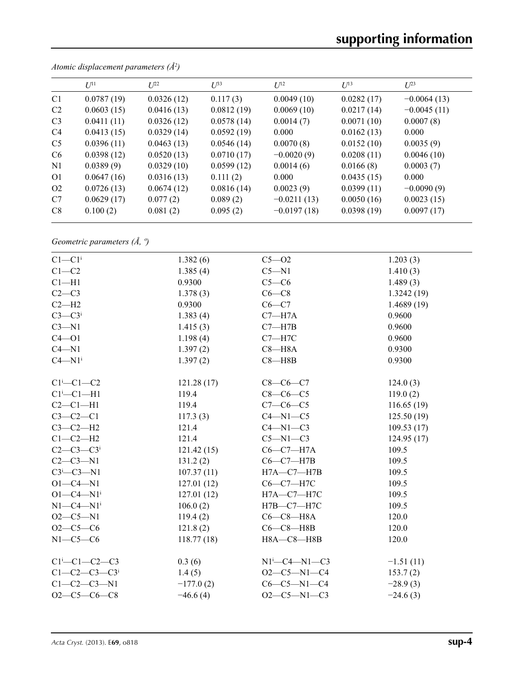|                | $U^{11}$   | $L^{22}$   | $I^{\beta 3}$ | $U^{12}$      | $U^{13}$   | $U^{23}$      |
|----------------|------------|------------|---------------|---------------|------------|---------------|
| C <sub>1</sub> | 0.0787(19) | 0.0326(12) | 0.117(3)      | 0.0049(10)    | 0.0282(17) | $-0.0064(13)$ |
| C <sub>2</sub> | 0.0603(15) | 0.0416(13) | 0.0812(19)    | 0.0069(10)    | 0.0217(14) | $-0.0045(11)$ |
| C <sub>3</sub> | 0.0411(11) | 0.0326(12) | 0.0578(14)    | 0.0014(7)     | 0.0071(10) | 0.0007(8)     |
| C <sub>4</sub> | 0.0413(15) | 0.0329(14) | 0.0592(19)    | 0.000         | 0.0162(13) | 0.000         |
| C <sub>5</sub> | 0.0396(11) | 0.0463(13) | 0.0546(14)    | 0.0070(8)     | 0.0152(10) | 0.0035(9)     |
| C <sub>6</sub> | 0.0398(12) | 0.0520(13) | 0.0710(17)    | $-0.0020(9)$  | 0.0208(11) | 0.0046(10)    |
| N <sub>1</sub> | 0.0389(9)  | 0.0329(10) | 0.0599(12)    | 0.0014(6)     | 0.0166(8)  | 0.0003(7)     |
| O <sub>1</sub> | 0.0647(16) | 0.0316(13) | 0.111(2)      | 0.000         | 0.0435(15) | 0.000         |
| O <sub>2</sub> | 0.0726(13) | 0.0674(12) | 0.0816(14)    | 0.0023(9)     | 0.0399(11) | $-0.0090(9)$  |
| C7             | 0.0629(17) | 0.077(2)   | 0.089(2)      | $-0.0211(13)$ | 0.0050(16) | 0.0023(15)    |
| C <sub>8</sub> | 0.100(2)   | 0.081(2)   | 0.095(2)      | $-0.0197(18)$ | 0.0398(19) | 0.0097(17)    |

*Atomic displacement parameters (Å2 )*

*Geometric parameters (Å, º)*

| $C1-C1$ <sup>i</sup>                   | 1.382(6)    | $C5 - O2$                     | 1.203(3)    |
|----------------------------------------|-------------|-------------------------------|-------------|
| $C1 - C2$                              | 1.385(4)    | $C5 - N1$                     | 1.410(3)    |
| $Cl-H1$                                | 0.9300      | $C5-C6$                       | 1.489(3)    |
| $C2-C3$                                | 1.378(3)    | $C6-C8$                       | 1.3242(19)  |
| $C2-H2$                                | 0.9300      | $C6-C7$                       | 1.4689(19)  |
| $C3-C3$ <sup>i</sup>                   | 1.383(4)    | $C7 - H7A$                    | 0.9600      |
| $C3 - N1$                              | 1.415(3)    | $C7 - H7B$                    | 0.9600      |
| $C4 - O1$                              | 1.198(4)    | $C7 - H7C$                    | 0.9600      |
| $C4 - N1$                              | 1.397(2)    | $C8 - H8A$                    | 0.9300      |
| $C4 - N1$ <sup>i</sup>                 | 1.397(2)    | $C8 - H8B$                    | 0.9300      |
| $Cl^i$ -Cl-C2                          | 121.28(17)  | $C8-C6-C7$                    | 124.0(3)    |
| $Cl^i$ -Cl-H1                          | 119.4       | $C8-C6-C5$                    | 119.0(2)    |
| $C2-C1-H1$                             | 119.4       | $C7-C6-C5$                    | 116.65(19)  |
| $C3-C2-C1$                             | 117.3(3)    | $C4 - N1 - C5$                | 125.50(19)  |
| $C3-C2-H2$                             | 121.4       | $C4 - N1 - C3$                | 109.53(17)  |
| $C1-C2-H2$                             | 121.4       | $C5 - N1 - C3$                | 124.95(17)  |
| $C2 - C3 - C3$ <sup>i</sup>            | 121.42(15)  | $C6-C7-H7A$                   | 109.5       |
| $C2-C3-N1$                             | 131.2(2)    | $C6-C7-H7B$                   | 109.5       |
| $C3$ <sup>i</sup> $-C3$ -N1            | 107.37(11)  | $H7A - C7 - H7B$              | 109.5       |
| $O1 - C4 - N1$                         | 127.01(12)  | $C6-C7-H7C$                   | 109.5       |
| $O1 - C4 - N1$ <sup>i</sup>            | 127.01(12)  | $H7A - C7 - H7C$              | 109.5       |
| $N1-C4-N1$ <sup>i</sup>                | 106.0(2)    | $H7B-C7-H7C$                  | 109.5       |
| $O2-C5-N1$                             | 119.4(2)    | $C6-C8-H8A$                   | 120.0       |
| $O2-C5-C6$                             | 121.8(2)    | $C6-C8-H8B$                   | 120.0       |
| $N1-C5-C6$                             | 118.77(18)  | H8A-C8-H8B                    | 120.0       |
| $C1$ <sup>i</sup> - $C1$ - $C2$ - $C3$ | 0.3(6)      | $N1^{i}$ - $C4$ - $N1$ - $C3$ | $-1.51(11)$ |
| $C1 - C2 - C3 - C3$                    | 1.4(5)      | $O2-C5-N1-C4$                 | 153.7(2)    |
| $C1 - C2 - C3 - N1$                    | $-177.0(2)$ | $C6-C5-N1-C4$                 | $-28.9(3)$  |
| $O2-C5-C6-C8$                          | $-46.6(4)$  | $O2-C5-N1-C3$                 | $-24.6(3)$  |